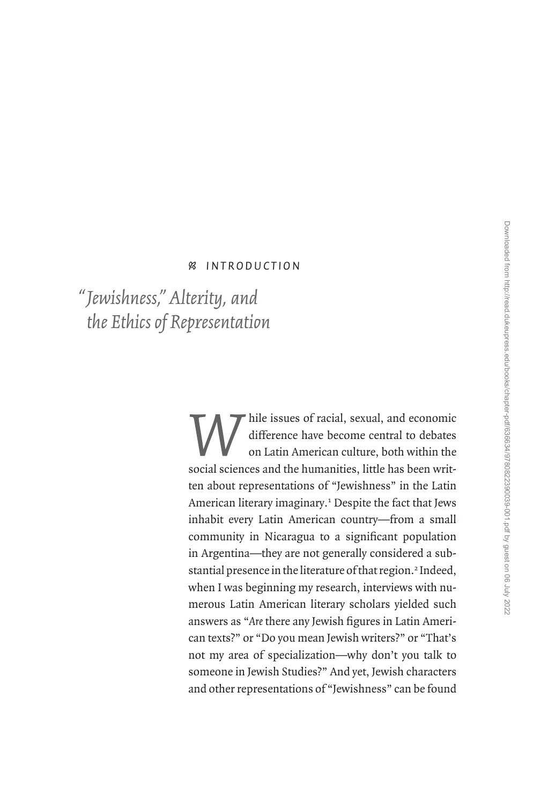# • *I n t r o d u c t io n*

*Jewishness," Alterity, and " the Ethics of Representation*

> *While issues of racial, sexual, and economic difference have become central to debates on Latin American culture, both within the social sciences and the humanities little has been writ*difference have become central to debates on Latin American culture, both within the social sciences and the humanities, little has been written about representations of "Jewishness" in the Latin American literary imaginary.<sup>1</sup> Despite the fact that Jews inhabit every Latin American country—from a small community in Nicaragua to a significant population in Argentina—they are not generally considered a substantial presence in the literature of that region.<sup>2</sup> Indeed, when I was beginning my research, interviews with numerous Latin American literary scholars yielded such answers as "*Are* there any Jewish figures in Latin American texts?" or "Do you mean Jewish writers?" or "That's not my area of specialization—why don't you talk to someone in Jewish Studies?" And yet, Jewish characters and other representations of "Jewishness" can be found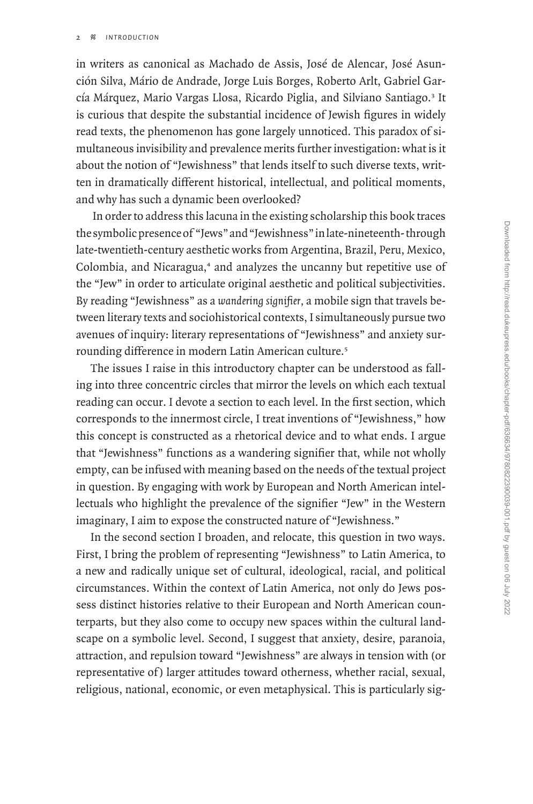in writers as canonical as Machado de Assis, José de Alencar, José Asunción Silva, Mário de Andrade, Jorge Luis Borges, Roberto Arlt, Gabriel García Márquez, Mario Vargas Llosa, Ricardo Piglia, and Silviano Santiago.<sup>3</sup> It is curious that despite the substantial incidence of Jewish figures in widely read texts, the phenomenon has gone largely unnoticed. This paradox of simultaneous invisibility and prevalence merits further investigation: what is it about the notion of "Jewishness" that lends itself to such diverse texts, written in dramatically different historical, intellectual, and political moments, and why has such a dynamic been overlooked?

 In order to address this lacuna in the existing scholarship this book traces the symbolic presence of "Jews" and "Jewishness" in late-nineteenth- through late-twentieth-century aesthetic works from Argentina, Brazil, Peru, Mexico, Colombia, and Nicaragua,<sup>4</sup> and analyzes the uncanny but repetitive use of the "Jew" in order to articulate original aesthetic and political subjectivities. By reading "Jewishness" as a *wandering signifier,* a mobile sign that travels between literary texts and sociohistorical contexts, I simultaneously pursue two avenues of inquiry: literary representations of "Jewishness" and anxiety surrounding difference in modern Latin American culture.<sup>5</sup>

The issues I raise in this introductory chapter can be understood as falling into three concentric circles that mirror the levels on which each textual reading can occur. I devote a section to each level. In the first section, which corresponds to the innermost circle, I treat inventions of "Jewishness," how this concept is constructed as a rhetorical device and to what ends. I argue that "Jewishness" functions as a wandering signifier that, while not wholly empty, can be infused with meaning based on the needs of the textual project in question. By engaging with work by European and North American intellectuals who highlight the prevalence of the signifier "Jew" in the Western imaginary, I aim to expose the constructed nature of "Jewishness."

In the second section I broaden, and relocate, this question in two ways. First, I bring the problem of representing "Jewishness" to Latin America, to a new and radically unique set of cultural, ideological, racial, and political circumstances. Within the context of Latin America, not only do Jews possess distinct histories relative to their European and North American counterparts, but they also come to occupy new spaces within the cultural landscape on a symbolic level. Second, I suggest that anxiety, desire, paranoia, attraction, and repulsion toward "Jewishness" are always in tension with (or representative of) larger attitudes toward otherness, whether racial, sexual, religious, national, economic, or even metaphysical. This is particularly sig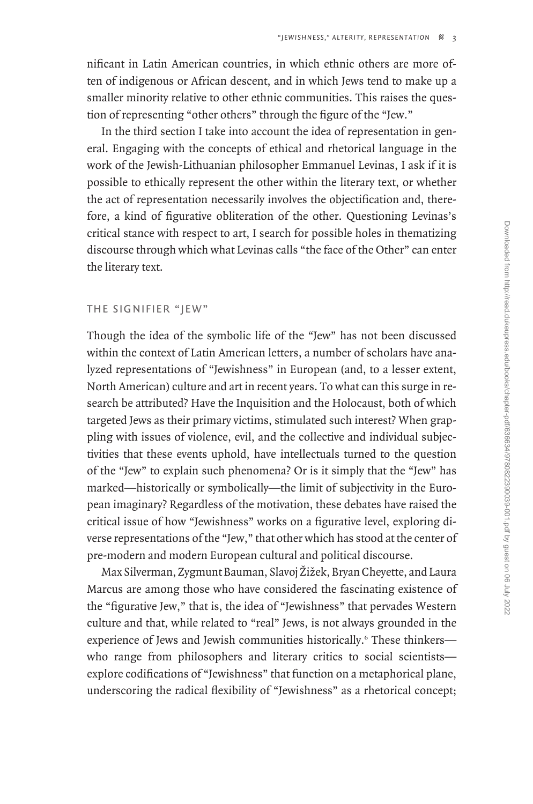nificant in Latin American countries, in which ethnic others are more often of indigenous or African descent, and in which Jews tend to make up a smaller minority relative to other ethnic communities. This raises the question of representing "other others" through the figure of the "Jew."

In the third section I take into account the idea of representation in general. Engaging with the concepts of ethical and rhetorical language in the work of the Jewish-Lithuanian philosopher Emmanuel Levinas, I ask if it is possible to ethically represent the other within the literary text, or whether the act of representation necessarily involves the objectification and, therefore, a kind of figurative obliteration of the other. Questioning Levinas's critical stance with respect to art, I search for possible holes in thematizing discourse through which what Levinas calls "the face of the Other" can enter the literary text.

### The Signifier "Jew"

Though the idea of the symbolic life of the "Jew" has not been discussed within the context of Latin American letters, a number of scholars have analyzed representations of "Jewishness" in European (and, to a lesser extent, North American) culture and art in recent years. To what can this surge in research be attributed? Have the Inquisition and the Holocaust, both of which targeted Jews as their primary victims, stimulated such interest? When grappling with issues of violence, evil, and the collective and individual subjectivities that these events uphold, have intellectuals turned to the question of the "Jew" to explain such phenomena? Or is it simply that the "Jew" has marked—historically or symbolically—the limit of subjectivity in the European imaginary? Regardless of the motivation, these debates have raised the critical issue of how "Jewishness" works on a figurative level, exploring diverse representations of the "Jew," that other which has stood at the center of pre-modern and modern European cultural and political discourse.

Max Silverman, Zygmunt Bauman, Slavoj Žižek, Bryan Cheyette, and Laura Marcus are among those who have considered the fascinating existence of the "figurative Jew," that is, the idea of "Jewishness" that pervades Western culture and that, while related to "real" Jews, is not always grounded in the experience of Jews and Jewish communities historically.<sup>6</sup> These thinkerswho range from philosophers and literary critics to social scientists explore codifications of "Jewishness" that function on a metaphorical plane, underscoring the radical flexibility of "Jewishness" as a rhetorical concept;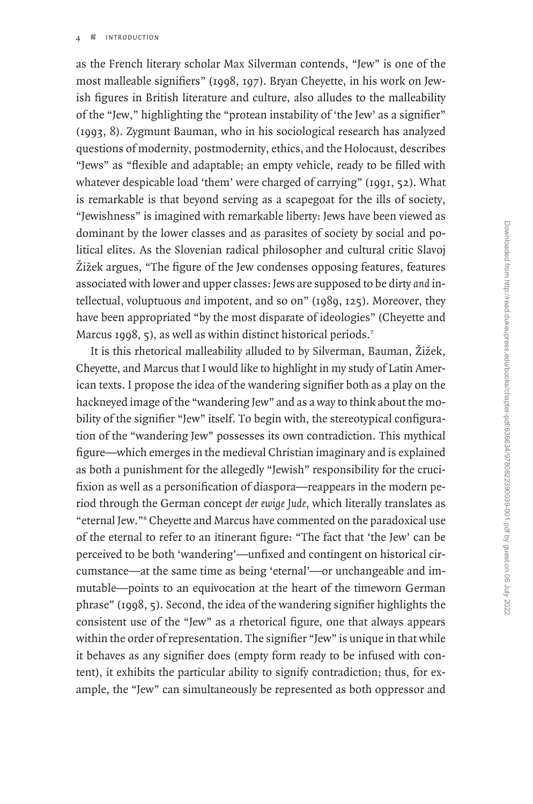as the French literary scholar Max Silverman contends, "Jew" is one of the most malleable signifiers" (1998, 197). Bryan Cheyette, in his work on Jewish figures in British literature and culture, also alludes to the malleability of the "Jew," highlighting the "protean instability of 'the Jew' as a signifier" (1993, 8). Zygmunt Bauman, who in his sociological research has analyzed questions of modernity, postmodernity, ethics, and the Holocaust, describes "Jews" as "flexible and adaptable; an empty vehicle, ready to be filled with whatever despicable load 'them' were charged of carrying" (1991, 52). What is remarkable is that beyond serving as a scapegoat for the ills of society, "Jewishness" is imagined with remarkable liberty: Jews have been viewed as dominant by the lower classes and as parasites of society by social and political elites. As the Slovenian radical philosopher and cultural critic Slavoj Žižek argues, "The figure of the Jew condenses opposing features, features associated with lower and upper classes: Jews are supposed to be dirty *and* intellectual, voluptuous *and* impotent, and so on" (1989, 125). Moreover, they have been appropriated "by the most disparate of ideologies" (Cheyette and Marcus 1998, 5), as well as within distinct historical periods.<sup>7</sup>

It is this rhetorical malleability alluded to by Silverman, Bauman, Žižek, Cheyette, and Marcus that I would like to highlight in my study of Latin American texts. I propose the idea of the wandering signifier both as a play on the hackneyed image of the "wandering Jew" and as a way to think about the mobility of the signifier "Jew" itself. To begin with, the stereotypical configuration of the "wandering Jew" possesses its own contradiction. This mythical figure—which emerges in the medieval Christian imaginary and is explained as both a punishment for the allegedly "Jewish" responsibility for the crucifixion as well as a personification of diaspora—reappears in the modern period through the German concept *der ewige Jude,* which literally translates as "eternal Jew."<sup>8</sup> Cheyette and Marcus have commented on the paradoxical use of the eternal to refer to an itinerant figure: "The fact that 'the Jew' can be perceived to be both 'wandering'—unfixed and contingent on historical circumstance—at the same time as being 'eternal'—or unchangeable and immutable—points to an equivocation at the heart of the timeworn German phrase" (1998, 5). Second, the idea of the wandering signifier highlights the consistent use of the "Jew" as a rhetorical figure, one that always appears within the order of representation. The signifier "Jew" is unique in that while it behaves as any signifier does (empty form ready to be infused with content), it exhibits the particular ability to signify contradiction; thus, for example, the "Jew" can simultaneously be represented as both oppressor and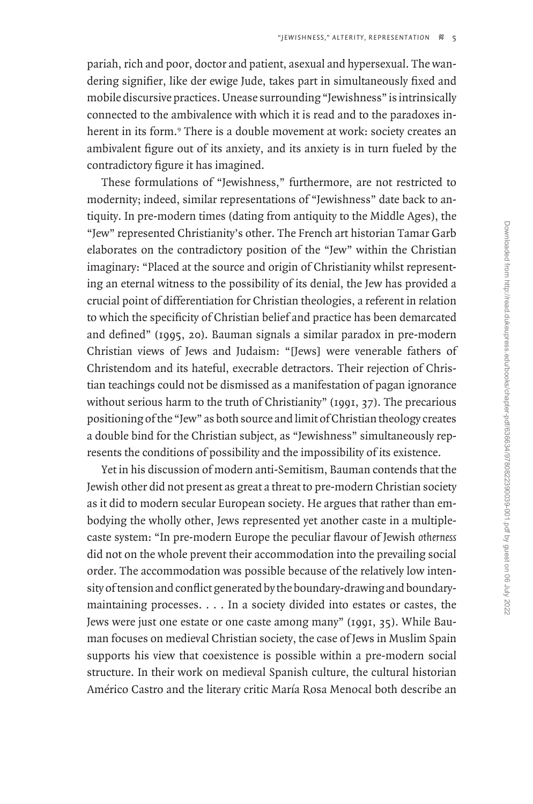pariah, rich and poor, doctor and patient, asexual and hypersexual. The wandering signifier, like der ewige Jude, takes part in simultaneously fixed and mobile discursive practices. Unease surrounding "Jewishness" is intrinsically connected to the ambivalence with which it is read and to the paradoxes inherent in its form.<sup>9</sup> There is a double movement at work: society creates an ambivalent figure out of its anxiety, and its anxiety is in turn fueled by the contradictory figure it has imagined.

These formulations of "Jewishness," furthermore, are not restricted to modernity; indeed, similar representations of "Jewishness" date back to antiquity. In pre-modern times (dating from antiquity to the Middle Ages), the "Jew" represented Christianity's other. The French art historian Tamar Garb elaborates on the contradictory position of the "Jew" within the Christian imaginary: "Placed at the source and origin of Christianity whilst representing an eternal witness to the possibility of its denial, the Jew has provided a crucial point of differentiation for Christian theologies, a referent in relation to which the specificity of Christian belief and practice has been demarcated and defined" (1995, 20). Bauman signals a similar paradox in pre-modern Christian views of Jews and Judaism: "[Jews] were venerable fathers of Christendom and its hateful, execrable detractors. Their rejection of Christian teachings could not be dismissed as a manifestation of pagan ignorance without serious harm to the truth of Christianity" (1991, 37). The precarious positioning of the "Jew" as both source and limit of Christian theology creates a double bind for the Christian subject, as "Jewishness" simultaneously represents the conditions of possibility and the impossibility of its existence.

Yet in his discussion of modern anti-Semitism, Bauman contends that the Jewish other did not present as great a threat to pre-modern Christian society as it did to modern secular European society. He argues that rather than embodying the wholly other, Jews represented yet another caste in a multiplecaste system: "In pre-modern Europe the peculiar flavour of Jewish *otherness* did not on the whole prevent their accommodation into the prevailing social order. The accommodation was possible because of the relatively low intensity of tension and conflict generated by the boundary-drawing and boundarymaintaining processes. . . . In a society divided into estates or castes, the Jews were just one estate or one caste among many" (1991, 35). While Bauman focuses on medieval Christian society, the case of Jews in Muslim Spain supports his view that coexistence is possible within a pre-modern social structure. In their work on medieval Spanish culture, the cultural historian Américo Castro and the literary critic María Rosa Menocal both describe an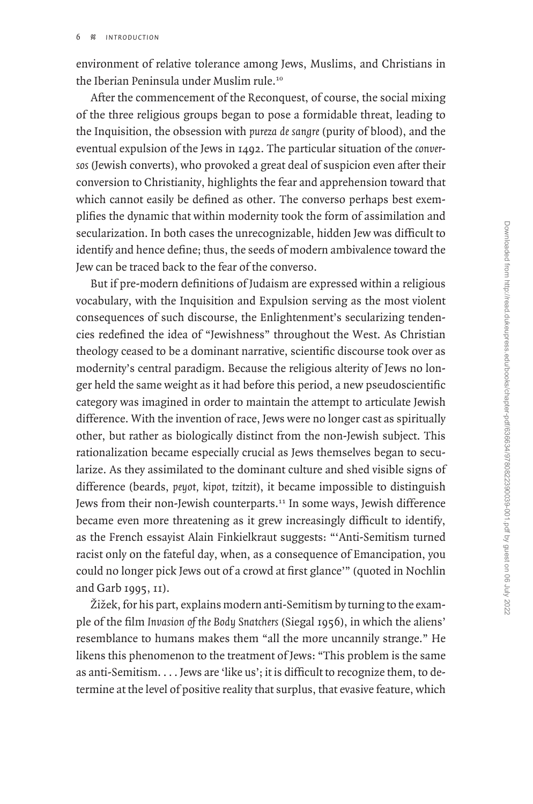environment of relative tolerance among Jews, Muslims, and Christians in the Iberian Peninsula under Muslim rule.<sup>10</sup>

After the commencement of the Reconquest, of course, the social mixing of the three religious groups began to pose a formidable threat, leading to the Inquisition, the obsession with *pureza de sangre* (purity of blood), and the eventual expulsion of the Jews in 1492. The particular situation of the *conversos* (Jewish converts), who provoked a great deal of suspicion even after their conversion to Christianity, highlights the fear and apprehension toward that which cannot easily be defined as other. The converso perhaps best exemplifies the dynamic that within modernity took the form of assimilation and secularization. In both cases the unrecognizable, hidden Jew was difficult to identify and hence define; thus, the seeds of modern ambivalence toward the Jew can be traced back to the fear of the converso.

But if pre-modern definitions of Judaism are expressed within a religious vocabulary, with the Inquisition and Expulsion serving as the most violent consequences of such discourse, the Enlightenment's secularizing tendencies redefined the idea of "Jewishness" throughout the West. As Christian theology ceased to be a dominant narrative, scientific discourse took over as modernity's central paradigm. Because the religious alterity of Jews no longer held the same weight as it had before this period, a new pseudoscientific category was imagined in order to maintain the attempt to articulate Jewish difference. With the invention of race, Jews were no longer cast as spiritually other, but rather as biologically distinct from the non-Jewish subject. This rationalization became especially crucial as Jews themselves began to secularize. As they assimilated to the dominant culture and shed visible signs of difference (beards, *peyot, kipot, tzitzit*), it became impossible to distinguish Jews from their non-Jewish counterparts.<sup>11</sup> In some ways, Jewish difference became even more threatening as it grew increasingly difficult to identify, as the French essayist Alain Finkielkraut suggests: "'Anti-Semitism turned racist only on the fateful day, when, as a consequence of Emancipation, you could no longer pick Jews out of a crowd at first glance'" (quoted in Nochlin and Garb 1995, 11).

 $\lambda$ ižek, for his part, explains modern anti-Semitism by turning to the example of the film *Invasion of the Body Snatchers* (Siegal 1956), in which the aliens' resemblance to humans makes them "all the more uncannily strange." He likens this phenomenon to the treatment of Jews: "This problem is the same as anti-Semitism. . . . Jews are 'like us'; it is difficult to recognize them, to determine at the level of positive reality that surplus, that evasive feature, which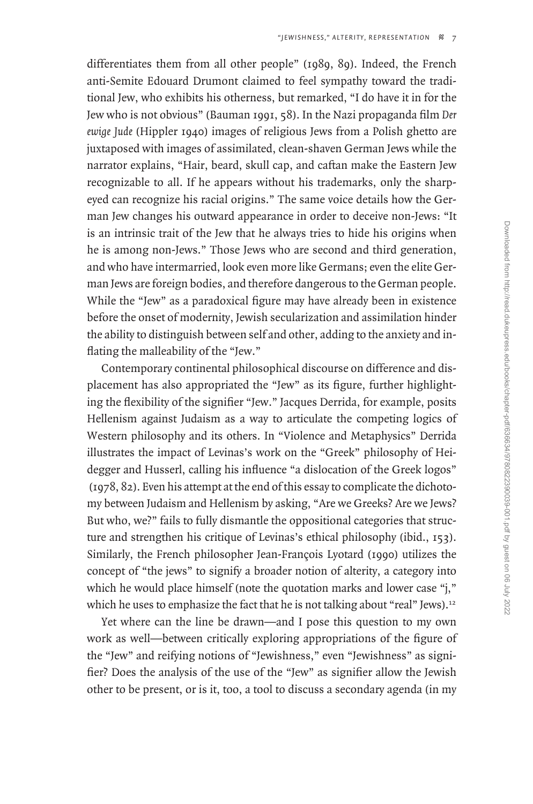differentiates them from all other people" (1989, 89). Indeed, the French anti-Semite Edouard Drumont claimed to feel sympathy toward the traditional Jew, who exhibits his otherness, but remarked, "I do have it in for the Jew who is not obvious" (Bauman 1991, 58). In the Nazi propaganda film *Der ewige Jude* (Hippler 1940) images of religious Jews from a Polish ghetto are juxtaposed with images of assimilated, clean-shaven German Jews while the narrator explains, "Hair, beard, skull cap, and caftan make the Eastern Jew recognizable to all. If he appears without his trademarks, only the sharpeyed can recognize his racial origins." The same voice details how the German Jew changes his outward appearance in order to deceive non-Jews: "It is an intrinsic trait of the Jew that he always tries to hide his origins when he is among non-Jews." Those Jews who are second and third generation, and who have intermarried, look even more like Germans; even the elite German Jews are foreign bodies, and therefore dangerous to the German people. While the "Jew" as a paradoxical figure may have already been in existence before the onset of modernity, Jewish secularization and assimilation hinder the ability to distinguish between self and other, adding to the anxiety and inflating the malleability of the "Jew."

Contemporary continental philosophical discourse on difference and displacement has also appropriated the "Jew" as its figure, further highlighting the flexibility of the signifier "Jew." Jacques Derrida, for example, posits Hellenism against Judaism as a way to articulate the competing logics of Western philosophy and its others. In "Violence and Metaphysics" Derrida illustrates the impact of Levinas's work on the "Greek" philosophy of Heidegger and Husserl, calling his influence "a dislocation of the Greek logos" (1978, 82). Even his attempt at the end of this essay to complicate the dichotomy between Judaism and Hellenism by asking, "Are we Greeks? Are we Jews? But who, we?" fails to fully dismantle the oppositional categories that structure and strengthen his critique of Levinas's ethical philosophy (ibid., 153). Similarly, the French philosopher Jean-François Lyotard (1990) utilizes the concept of "the jews" to signify a broader notion of alterity, a category into which he would place himself (note the quotation marks and lower case "j," which he uses to emphasize the fact that he is not talking about "real" Jews).<sup>12</sup>

Yet where can the line be drawn—and I pose this question to my own work as well—between critically exploring appropriations of the figure of the "Jew" and reifying notions of "Jewishness," even "Jewishness" as signifier? Does the analysis of the use of the "Jew" as signifier allow the Jewish other to be present, or is it, too, a tool to discuss a secondary agenda (in my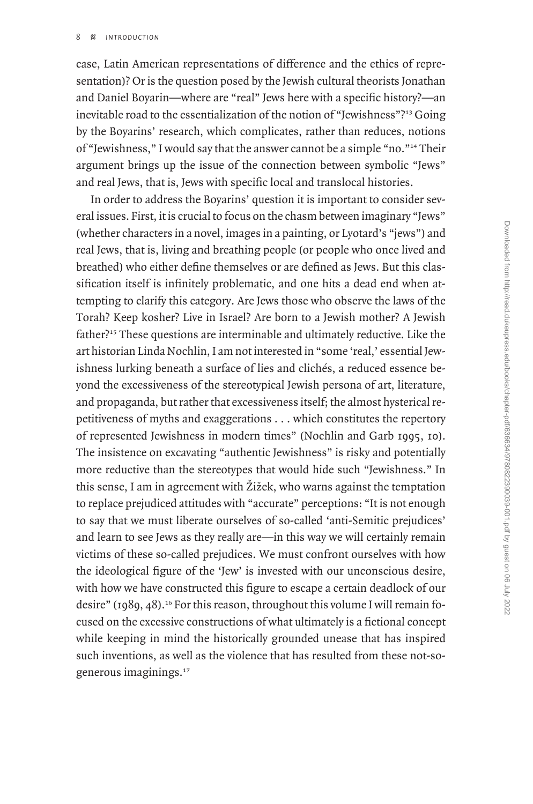case, Latin American representations of difference and the ethics of representation)? Or is the question posed by the Jewish cultural theorists Jonathan and Daniel Boyarin—where are "real" Jews here with a specific history?—an inevitable road to the essentialization of the notion of "Jewishness"?<sup>13</sup> Going by the Boyarins' research, which complicates, rather than reduces, notions of "Jewishness," I would say that the answer cannot be a simple "no."<sup>14</sup> Their argument brings up the issue of the connection between symbolic "Jews" and real Jews, that is, Jews with specific local and translocal histories.

In order to address the Boyarins' question it is important to consider several issues. First, it is crucial to focus on the chasm between imaginary "Jews" (whether characters in a novel, images in a painting, or Lyotard's "jews") and real Jews, that is, living and breathing people (or people who once lived and breathed) who either define themselves or are defined as Jews. But this classification itself is infinitely problematic, and one hits a dead end when attempting to clarify this category. Are Jews those who observe the laws of the Torah? Keep kosher? Live in Israel? Are born to a Jewish mother? A Jewish father?<sup>15</sup> These questions are interminable and ultimately reductive. Like the art historian Linda Nochlin, I am not interested in "some 'real,' essential Jewishness lurking beneath a surface of lies and clichés, a reduced essence beyond the excessiveness of the stereotypical Jewish persona of art, literature, and propaganda, but rather that excessiveness itself; the almost hysterical repetitiveness of myths and exaggerations . . . which constitutes the repertory of represented Jewishness in modern times" (Nochlin and Garb 1995, 10). The insistence on excavating "authentic Jewishness" is risky and potentially more reductive than the stereotypes that would hide such "Jewishness." In this sense, I am in agreement with  $\check{Z}$ ižek, who warns against the temptation to replace prejudiced attitudes with "accurate" perceptions: "It is not enough to say that we must liberate ourselves of so-called 'anti-Semitic prejudices' and learn to see Jews as they really are—in this way we will certainly remain victims of these so-called prejudices. We must confront ourselves with how the ideological figure of the 'Jew' is invested with our unconscious desire, with how we have constructed this figure to escape a certain deadlock of our desire" ( $1989, 48$ ).<sup>16</sup> For this reason, throughout this volume I will remain focused on the excessive constructions of what ultimately is a fictional concept while keeping in mind the historically grounded unease that has inspired such inventions, as well as the violence that has resulted from these not-sogenerous imaginings.<sup>17</sup>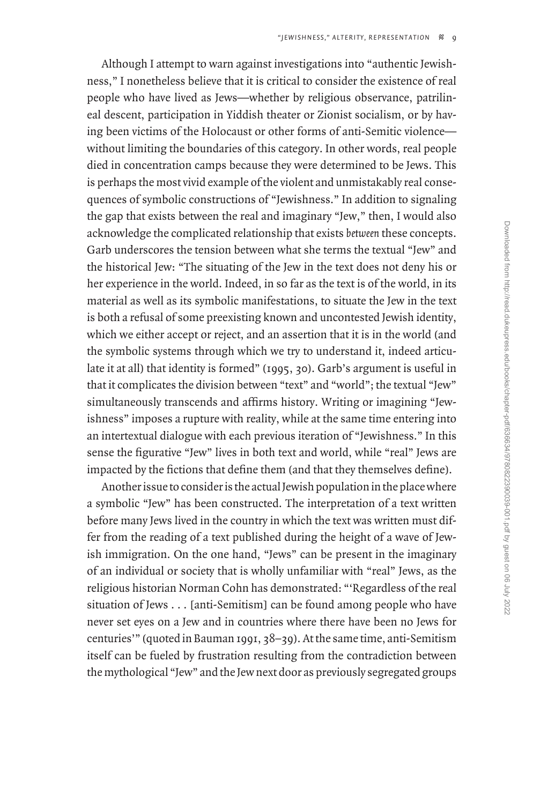Although I attempt to warn against investigations into "authentic Jewishness," I nonetheless believe that it is critical to consider the existence of real people who have lived as Jews—whether by religious observance, patrilineal descent, participation in Yiddish theater or Zionist socialism, or by having been victims of the Holocaust or other forms of anti-Semitic violence without limiting the boundaries of this category. In other words, real people died in concentration camps because they were determined to be Jews. This is perhaps the most vivid example of the violent and unmistakably real consequences of symbolic constructions of "Jewishness." In addition to signaling the gap that exists between the real and imaginary "Jew," then, I would also acknowledge the complicated relationship that exists *between* these concepts. Garb underscores the tension between what she terms the textual "Jew" and the historical Jew: "The situating of the Jew in the text does not deny his or her experience in the world. Indeed, in so far as the text is of the world, in its material as well as its symbolic manifestations, to situate the Jew in the text is both a refusal of some preexisting known and uncontested Jewish identity, which we either accept or reject, and an assertion that it is in the world (and the symbolic systems through which we try to understand it, indeed articulate it at all) that identity is formed" (1995, 30). Garb's argument is useful in that it complicates the division between "text" and "world"; the textual "Jew" simultaneously transcends and affirms history. Writing or imagining "Jewishness" imposes a rupture with reality, while at the same time entering into an intertextual dialogue with each previous iteration of "Jewishness." In this sense the figurative "Jew" lives in both text and world, while "real" Jews are impacted by the fictions that define them (and that they themselves define).

Another issue to consider is the actual Jewish population in the place where a symbolic "Jew" has been constructed. The interpretation of a text written before many Jews lived in the country in which the text was written must differ from the reading of a text published during the height of a wave of Jewish immigration. On the one hand, "Jews" can be present in the imaginary of an individual or society that is wholly unfamiliar with "real" Jews, as the religious historian Norman Cohn has demonstrated: "'Regardless of the real situation of Jews . . . [anti-Semitism] can be found among people who have never set eyes on a Jew and in countries where there have been no Jews for centuries'" (quoted in Bauman 1991, 38–39). At the same time, anti-Semitism itself can be fueled by frustration resulting from the contradiction between the mythological "Jew" and the Jew next door as previously segregated groups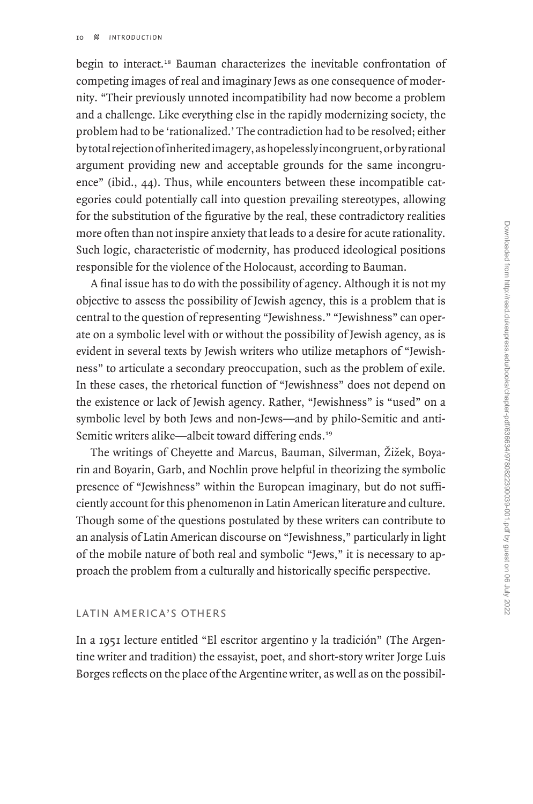begin to interact.<sup>18</sup> Bauman characterizes the inevitable confrontation of competing images of real and imaginary Jews as one consequence of modernity. "Their previously unnoted incompatibility had now become a problem and a challenge. Like everything else in the rapidly modernizing society, the problem had to be 'rationalized.' The contradiction had to be resolved; either by total rejection of inherited imagery, as hopelessly incongruent, or by rational argument providing new and acceptable grounds for the same incongruence" (ibid., 44). Thus, while encounters between these incompatible categories could potentially call into question prevailing stereotypes, allowing for the substitution of the figurative by the real, these contradictory realities more often than not inspire anxiety that leads to a desire for acute rationality. Such logic, characteristic of modernity, has produced ideological positions responsible for the violence of the Holocaust, according to Bauman.

A final issue has to do with the possibility of agency. Although it is not my objective to assess the possibility of Jewish agency, this is a problem that is central to the question of representing "Jewishness." "Jewishness" can operate on a symbolic level with or without the possibility of Jewish agency, as is evident in several texts by Jewish writers who utilize metaphors of "Jewishness" to articulate a secondary preoccupation, such as the problem of exile. In these cases, the rhetorical function of "Jewishness" does not depend on the existence or lack of Jewish agency. Rather, "Jewishness" is "used" on a symbolic level by both Jews and non-Jews—and by philo-Semitic and anti-Semitic writers alike—albeit toward differing ends.<sup>19</sup>

The writings of Cheyette and Marcus, Bauman, Silverman, Žižek, Boyarin and Boyarin, Garb, and Nochlin prove helpful in theorizing the symbolic presence of "Jewishness" within the European imaginary, but do not sufficiently account for this phenomenon in Latin American literature and culture. Though some of the questions postulated by these writers can contribute to an analysis of Latin American discourse on "Jewishness," particularly in light of the mobile nature of both real and symbolic "Jews," it is necessary to approach the problem from a culturally and historically specific perspective.

# Latin America's Others

In a 1951 lecture entitled "El escritor argentino y la tradición" (The Argentine writer and tradition) the essayist, poet, and short-story writer Jorge Luis Borges reflects on the place of the Argentine writer, as well as on the possibil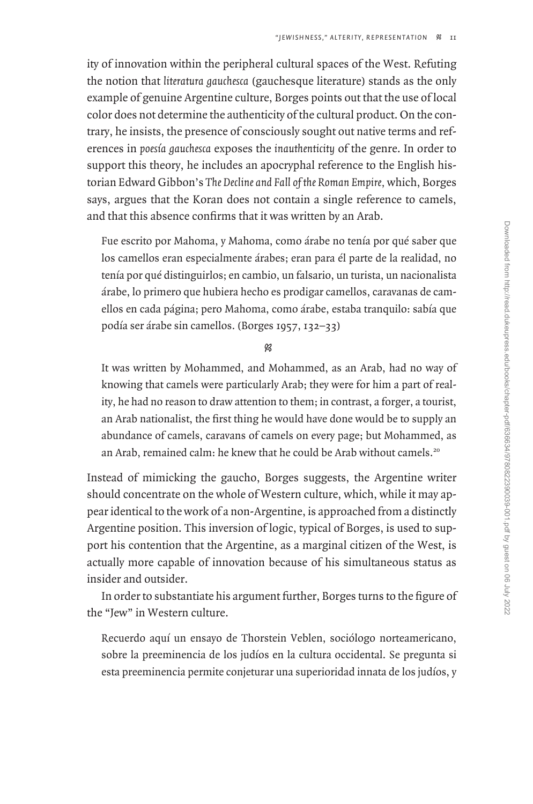ity of innovation within the peripheral cultural spaces of the West. Refuting the notion that *literatura gauchesca* (gauchesque literature) stands as the only example of genuine Argentine culture, Borges points out that the use of local color does not determine the authenticity of the cultural product. On the contrary, he insists, the presence of consciously sought out native terms and references in *poesía gauchesca* exposes the *inauthenticity* of the genre. In order to support this theory, he includes an apocryphal reference to the English historian Edward Gibbon's *The Decline and Fall of the Roman Empire,* which, Borges says, argues that the Koran does not contain a single reference to camels, and that this absence confirms that it was written by an Arab.

Fue escrito por Mahoma, y Mahoma, como árabe no tenía por qué saber que los camellos eran especialmente árabes; eran para él parte de la realidad, no tenía por qué distinguirlos; en cambio, un falsario, un turista, un nacionalista árabe, lo primero que hubiera hecho es prodigar camellos, caravanas de camellos en cada página; pero Mahoma, como árabe, estaba tranquilo: sabía que podía ser árabe sin camellos. (Borges 1957, 132–33)

 $\otimes$ 

It was written by Mohammed, and Mohammed, as an Arab, had no way of knowing that camels were particularly Arab; they were for him a part of reality, he had no reason to draw attention to them; in contrast, a forger, a tourist, an Arab nationalist, the first thing he would have done would be to supply an abundance of camels, caravans of camels on every page; but Mohammed, as an Arab, remained calm: he knew that he could be Arab without camels.<sup>20</sup>

Instead of mimicking the gaucho, Borges suggests, the Argentine writer should concentrate on the whole of Western culture, which, while it may appear identical to the work of a non-Argentine, is approached from a distinctly Argentine position. This inversion of logic, typical of Borges, is used to support his contention that the Argentine, as a marginal citizen of the West, is actually more capable of innovation because of his simultaneous status as insider and outsider.

In order to substantiate his argument further, Borges turns to the figure of the "Jew" in Western culture.

Recuerdo aquí un ensayo de Thorstein Veblen, sociólogo norteamericano, sobre la preeminencia de los judíos en la cultura occidental. Se pregunta si esta preeminencia permite conjeturar una superioridad innata de los judíos, y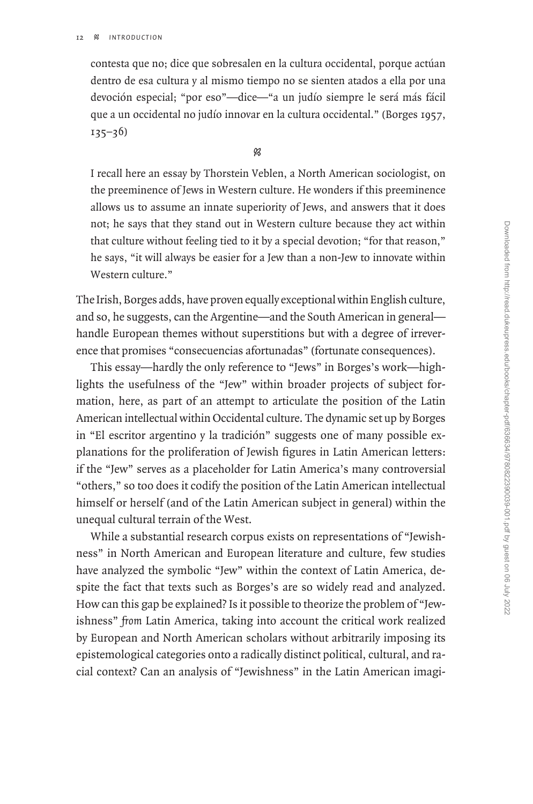contesta que no; dice que sobresalen en la cultura occidental, porque actúan dentro de esa cultura y al mismo tiempo no se sienten atados a ella por una devoción especial; "por eso"—dice—"a un judío siempre le será más fácil que a un occidental no judío innovar en la cultura occidental." (Borges 1957,  $135 - 36$ 

 $\mathscr{B}$ 

I recall here an essay by Thorstein Veblen, a North American sociologist, on the preeminence of Jews in Western culture. He wonders if this preeminence allows us to assume an innate superiority of Jews, and answers that it does not; he says that they stand out in Western culture because they act within that culture without feeling tied to it by a special devotion; "for that reason," he says, "it will always be easier for a Jew than a non-Jew to innovate within Western culture."

The Irish, Borges adds, have proven equally exceptional within English culture, and so, he suggests, can the Argentine—and the South American in general handle European themes without superstitions but with a degree of irreverence that promises "consecuencias afortunadas" (fortunate consequences).

This essay—hardly the only reference to "Jews" in Borges's work—highlights the usefulness of the "Jew" within broader projects of subject formation, here, as part of an attempt to articulate the position of the Latin American intellectual within Occidental culture. The dynamic set up by Borges in "El escritor argentino y la tradición" suggests one of many possible explanations for the proliferation of Jewish figures in Latin American letters: if the "Jew" serves as a placeholder for Latin America's many controversial "others," so too does it codify the position of the Latin American intellectual himself or herself (and of the Latin American subject in general) within the unequal cultural terrain of the West.

While a substantial research corpus exists on representations of "Jewishness" in North American and European literature and culture, few studies have analyzed the symbolic "Jew" within the context of Latin America, despite the fact that texts such as Borges's are so widely read and analyzed. How can this gap be explained? Is it possible to theorize the problem of "Jewishness" *from* Latin America, taking into account the critical work realized by European and North American scholars without arbitrarily imposing its epistemological categories onto a radically distinct political, cultural, and racial context? Can an analysis of "Jewishness" in the Latin American imagi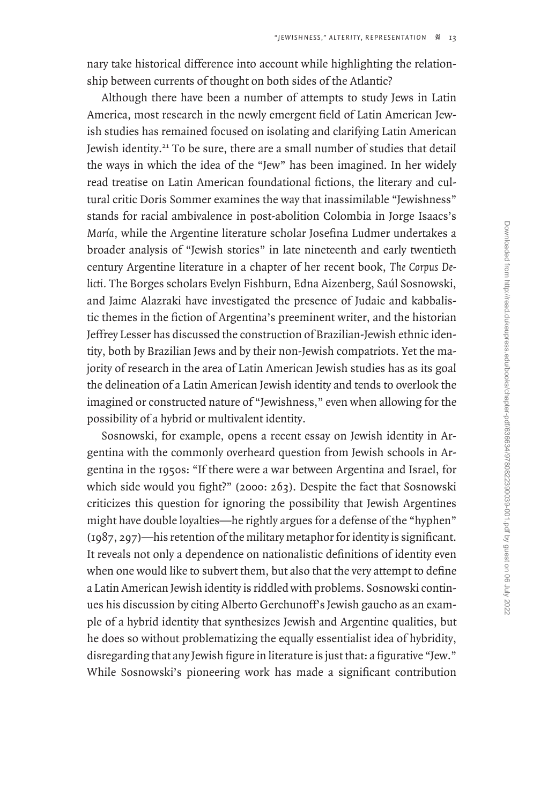nary take historical difference into account while highlighting the relationship between currents of thought on both sides of the Atlantic?

Although there have been a number of attempts to study Jews in Latin America, most research in the newly emergent field of Latin American Jewish studies has remained focused on isolating and clarifying Latin American Jewish identity.<sup>21</sup> To be sure, there are a small number of studies that detail the ways in which the idea of the "Jew" has been imagined. In her widely read treatise on Latin American foundational fictions, the literary and cultural critic Doris Sommer examines the way that inassimilable "Jewishness" stands for racial ambivalence in post-abolition Colombia in Jorge Isaacs's *María,* while the Argentine literature scholar Josefina Ludmer undertakes a broader analysis of "Jewish stories" in late nineteenth and early twentieth century Argentine literature in a chapter of her recent book, *The Corpus Delicti.* The Borges scholars Evelyn Fishburn, Edna Aizenberg, Saúl Sosnowski, and Jaime Alazraki have investigated the presence of Judaic and kabbalistic themes in the fiction of Argentina's preeminent writer, and the historian Jeffrey Lesser has discussed the construction of Brazilian-Jewish ethnic identity, both by Brazilian Jews and by their non-Jewish compatriots. Yet the majority of research in the area of Latin American Jewish studies has as its goal the delineation of a Latin American Jewish identity and tends to overlook the imagined or constructed nature of "Jewishness," even when allowing for the possibility of a hybrid or multivalent identity.

Sosnowski, for example, opens a recent essay on Jewish identity in Argentina with the commonly overheard question from Jewish schools in Argentina in the 1950s: "If there were a war between Argentina and Israel, for which side would you fight?" (2000: 263). Despite the fact that Sosnowski criticizes this question for ignoring the possibility that Jewish Argentines might have double loyalties—he rightly argues for a defense of the "hyphen" (1987, 297)—his retention of the military metaphor for identity is significant. It reveals not only a dependence on nationalistic definitions of identity even when one would like to subvert them, but also that the very attempt to define a Latin American Jewish identity is riddled with problems. Sosnowski continues his discussion by citing Alberto Gerchunoff's Jewish gaucho as an example of a hybrid identity that synthesizes Jewish and Argentine qualities, but he does so without problematizing the equally essentialist idea of hybridity, disregarding that any Jewish figure in literature is just that: a figurative "Jew." While Sosnowski's pioneering work has made a significant contribution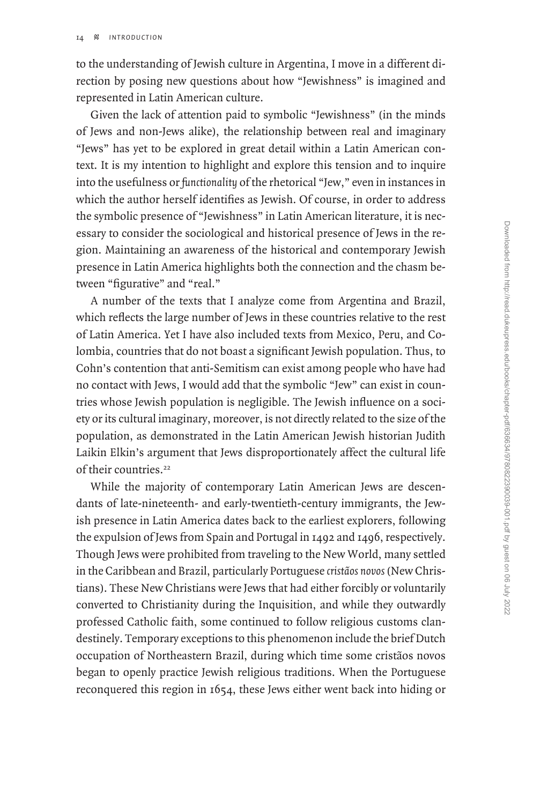to the understanding of Jewish culture in Argentina, I move in a different direction by posing new questions about how "Jewishness" is imagined and represented in Latin American culture.

Given the lack of attention paid to symbolic "Jewishness" (in the minds of Jews and non-Jews alike), the relationship between real and imaginary "Jews" has yet to be explored in great detail within a Latin American context. It is my intention to highlight and explore this tension and to inquire into the usefulness or *functionality* of the rhetorical "Jew," even in instances in which the author herself identifies as Jewish. Of course, in order to address the symbolic presence of "Jewishness" in Latin American literature, it is necessary to consider the sociological and historical presence of Jews in the region. Maintaining an awareness of the historical and contemporary Jewish presence in Latin America highlights both the connection and the chasm between "figurative" and "real."

A number of the texts that I analyze come from Argentina and Brazil, which reflects the large number of Jews in these countries relative to the rest of Latin America. Yet I have also included texts from Mexico, Peru, and Colombia, countries that do not boast a significant Jewish population. Thus, to Cohn's contention that anti-Semitism can exist among people who have had no contact with Jews, I would add that the symbolic "Jew" can exist in countries whose Jewish population is negligible. The Jewish influence on a society or its cultural imaginary, moreover, is not directly related to the size of the population, as demonstrated in the Latin American Jewish historian Judith Laikin Elkin's argument that Jews disproportionately affect the cultural life of their countries.<sup>22</sup>

While the majority of contemporary Latin American Jews are descendants of late-nineteenth- and early-twentieth-century immigrants, the Jewish presence in Latin America dates back to the earliest explorers, following the expulsion of Jews from Spain and Portugal in 1492 and 1496, respectively. Though Jews were prohibited from traveling to the New World, many settled in the Caribbean and Brazil, particularly Portuguese *cristãos novos* (New Christians). These New Christians were Jews that had either forcibly or voluntarily converted to Christianity during the Inquisition, and while they outwardly professed Catholic faith, some continued to follow religious customs clandestinely. Temporary exceptions to this phenomenon include the brief Dutch occupation of Northeastern Brazil, during which time some cristãos novos began to openly practice Jewish religious traditions. When the Portuguese reconquered this region in 1654, these Jews either went back into hiding or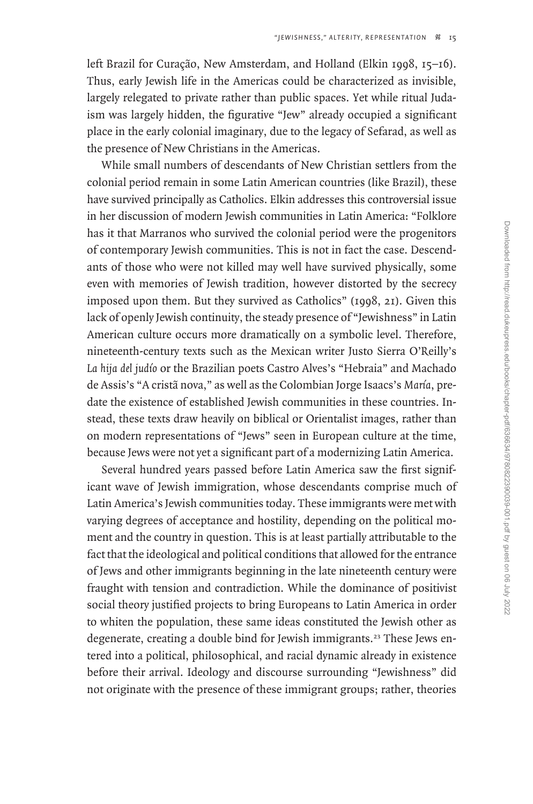left Brazil for Curação, New Amsterdam, and Holland (Elkin 1998, 15–16). Thus, early Jewish life in the Americas could be characterized as invisible, largely relegated to private rather than public spaces. Yet while ritual Judaism was largely hidden, the figurative "Jew" already occupied a significant place in the early colonial imaginary, due to the legacy of Sefarad, as well as the presence of New Christians in the Americas.

While small numbers of descendants of New Christian settlers from the colonial period remain in some Latin American countries (like Brazil), these have survived principally as Catholics. Elkin addresses this controversial issue in her discussion of modern Jewish communities in Latin America: "Folklore has it that Marranos who survived the colonial period were the progenitors of contemporary Jewish communities. This is not in fact the case. Descendants of those who were not killed may well have survived physically, some even with memories of Jewish tradition, however distorted by the secrecy imposed upon them. But they survived as Catholics" (1998, 21). Given this lack of openly Jewish continuity, the steady presence of "Jewishness" in Latin American culture occurs more dramatically on a symbolic level. Therefore, nineteenth-century texts such as the Mexican writer Justo Sierra O'Reilly's *La hija del judío* or the Brazilian poets Castro Alves's "Hebraia" and Machado de Assis's "A cristã nova," as well as the Colombian Jorge Isaacs's *María*, predate the existence of established Jewish communities in these countries. Instead, these texts draw heavily on biblical or Orientalist images, rather than on modern representations of "Jews" seen in European culture at the time, because Jews were not yet a significant part of a modernizing Latin America.

Several hundred years passed before Latin America saw the first significant wave of Jewish immigration, whose descendants comprise much of Latin America's Jewish communities today. These immigrants were met with varying degrees of acceptance and hostility, depending on the political moment and the country in question. This is at least partially attributable to the fact that the ideological and political conditions that allowed for the entrance of Jews and other immigrants beginning in the late nineteenth century were fraught with tension and contradiction. While the dominance of positivist social theory justified projects to bring Europeans to Latin America in order to whiten the population, these same ideas constituted the Jewish other as degenerate, creating a double bind for Jewish immigrants.<sup>23</sup> These Jews entered into a political, philosophical, and racial dynamic already in existence before their arrival. Ideology and discourse surrounding "Jewishness" did not originate with the presence of these immigrant groups; rather, theories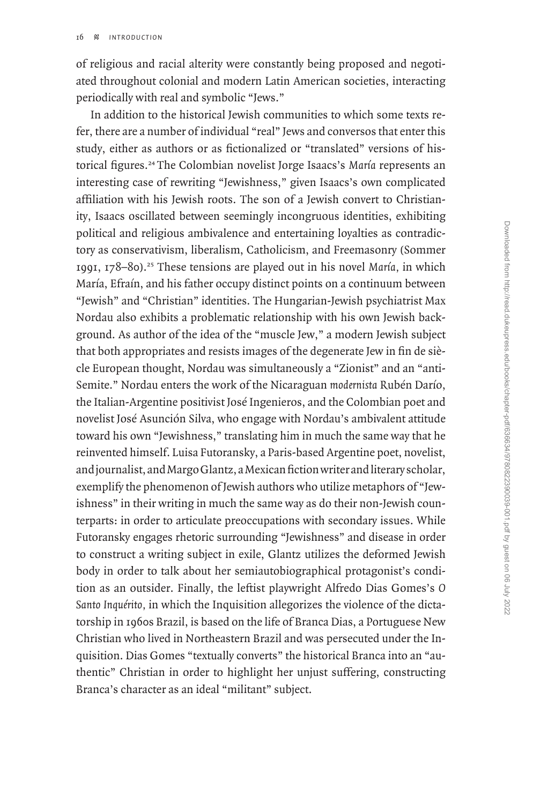of religious and racial alterity were constantly being proposed and negotiated throughout colonial and modern Latin American societies, interacting periodically with real and symbolic "Jews."

In addition to the historical Jewish communities to which some texts refer, there are a number of individual "real" Jews and conversos that enter this study, either as authors or as fictionalized or "translated" versions of historical figures.<sup>24</sup>The Colombian novelist Jorge Isaacs's *María* represents an interesting case of rewriting "Jewishness," given Isaacs's own complicated affiliation with his Jewish roots. The son of a Jewish convert to Christianity, Isaacs oscillated between seemingly incongruous identities, exhibiting political and religious ambivalence and entertaining loyalties as contradictory as conservativism, liberalism, Catholicism, and Freemasonry (Sommer 1991, 178–80).<sup>25</sup> These tensions are played out in his novel *María,* in which María, Efraín, and his father occupy distinct points on a continuum between "Jewish" and "Christian" identities. The Hungarian-Jewish psychiatrist Max Nordau also exhibits a problematic relationship with his own Jewish background. As author of the idea of the "muscle Jew," a modern Jewish subject that both appropriates and resists images of the degenerate Jew in fin de siècle European thought, Nordau was simultaneously a "Zionist" and an "anti-Semite." Nordau enters the work of the Nicaraguan *modernista* Rubén Darío, the Italian-Argentine positivist José Ingenieros, and the Colombian poet and novelist José Asunción Silva, who engage with Nordau's ambivalent attitude toward his own "Jewishness," translating him in much the same way that he reinvented himself. Luisa Futoransky, a Paris-based Argentine poet, novelist, and journalist, and Margo Glantz, a Mexican fiction writer and literary scholar, exemplify the phenomenon of Jewish authors who utilize metaphors of "Jewishness" in their writing in much the same way as do their non-Jewish counterparts: in order to articulate preoccupations with secondary issues. While Futoransky engages rhetoric surrounding "Jewishness" and disease in order to construct a writing subject in exile, Glantz utilizes the deformed Jewish body in order to talk about her semiautobiographical protagonist's condition as an outsider. Finally, the leftist playwright Alfredo Dias Gomes's *O Santo Inquérito,* in which the Inquisition allegorizes the violence of the dictatorship in 1960s Brazil, is based on the life of Branca Dias, a Portuguese New Christian who lived in Northeastern Brazil and was persecuted under the Inquisition. Dias Gomes "textually converts" the historical Branca into an "authentic" Christian in order to highlight her unjust suffering, constructing Branca's character as an ideal "militant" subject.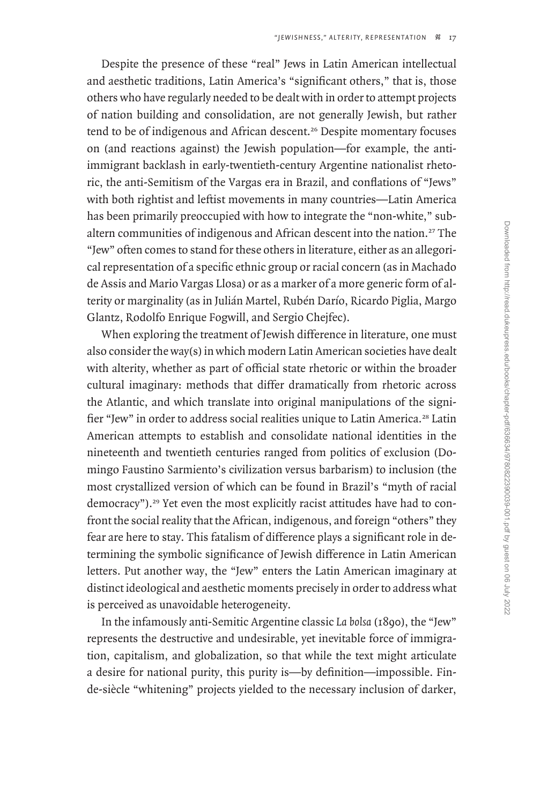Despite the presence of these "real" Jews in Latin American intellectual and aesthetic traditions, Latin America's "significant others," that is, those others who have regularly needed to be dealt with in order to attempt projects of nation building and consolidation, are not generally Jewish, but rather tend to be of indigenous and African descent.<sup>26</sup> Despite momentary focuses on (and reactions against) the Jewish population—for example, the antiimmigrant backlash in early-twentieth-century Argentine nationalist rhetoric, the anti-Semitism of the Vargas era in Brazil, and conflations of "Jews" with both rightist and leftist movements in many countries—Latin America has been primarily preoccupied with how to integrate the "non-white," subaltern communities of indigenous and African descent into the nation.<sup>27</sup> The "Jew" often comes to stand for these others in literature, either as an allegorical representation of a specific ethnic group or racial concern (as in Machado de Assis and Mario Vargas Llosa) or as a marker of a more generic form of alterity or marginality (as in Julián Martel, Rubén Darío, Ricardo Piglia, Margo Glantz, Rodolfo Enrique Fogwill, and Sergio Chejfec).

When exploring the treatment of Jewish difference in literature, one must also consider the way(s) in which modern Latin American societies have dealt with alterity, whether as part of official state rhetoric or within the broader cultural imaginary: methods that differ dramatically from rhetoric across the Atlantic, and which translate into original manipulations of the signifier "Jew" in order to address social realities unique to Latin America.<sup>28</sup> Latin American attempts to establish and consolidate national identities in the nineteenth and twentieth centuries ranged from politics of exclusion (Domingo Faustino Sarmiento's civilization versus barbarism) to inclusion (the most crystallized version of which can be found in Brazil's "myth of racial democracy").29 Yet even the most explicitly racist attitudes have had to confront the social reality that the African, indigenous, and foreign "others" they fear are here to stay. This fatalism of difference plays a significant role in determining the symbolic significance of Jewish difference in Latin American letters. Put another way, the "Jew" enters the Latin American imaginary at distinct ideological and aesthetic moments precisely in order to address what is perceived as unavoidable heterogeneity.

In the infamously anti-Semitic Argentine classic *La bolsa* (1890), the "Jew" represents the destructive and undesirable, yet inevitable force of immigration, capitalism, and globalization, so that while the text might articulate a desire for national purity, this purity is—by definition—impossible. Finde-siècle "whitening" projects yielded to the necessary inclusion of darker,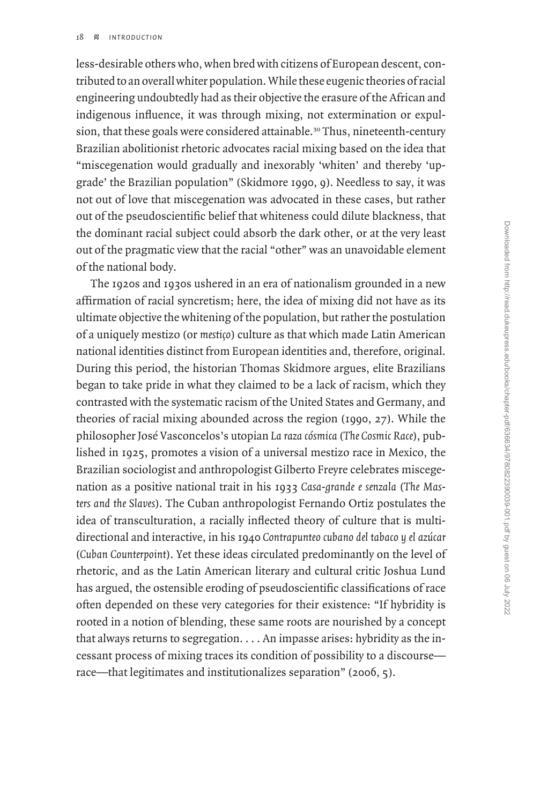less-desirable others who, when bred with citizens of European descent, contributed to an overall whiter population. While these eugenic theories of racial engineering undoubtedly had as their objective the erasure of the African and indigenous influence, it was through mixing, not extermination or expulsion, that these goals were considered attainable.<sup>30</sup> Thus, nineteenth-century Brazilian abolitionist rhetoric advocates racial mixing based on the idea that "miscegenation would gradually and inexorably 'whiten' and thereby 'upgrade' the Brazilian population" (Skidmore 1990, 9). Needless to say, it was not out of love that miscegenation was advocated in these cases, but rather out of the pseudoscientific belief that whiteness could dilute blackness, that the dominant racial subject could absorb the dark other, or at the very least out of the pragmatic view that the racial "other" was an unavoidable element of the national body.

The 1920s and 1930s ushered in an era of nationalism grounded in a new affirmation of racial syncretism; here, the idea of mixing did not have as its ultimate objective the whitening of the population, but rather the postulation of a uniquely mestizo (or *mestiço*) culture as that which made Latin American national identities distinct from European identities and, therefore, original. During this period, the historian Thomas Skidmore argues, elite Brazilians began to take pride in what they claimed to be a lack of racism, which they contrasted with the systematic racism of the United States and Germany, and theories of racial mixing abounded across the region (1990, 27). While the philosopher José Vasconcelos's utopian *La raza cósmica* (*The Cosmic Race*), published in 1925, promotes a vision of a universal mestizo race in Mexico, the Brazilian sociologist and anthropologist Gilberto Freyre celebrates miscegenation as a positive national trait in his 1933 *Casa-grande e senzala* (*The Masters and the Slaves*). The Cuban anthropologist Fernando Ortiz postulates the idea of transculturation, a racially inflected theory of culture that is multidirectional and interactive, in his 1940 *Contrapunteo cubano del tabaco y el azúcar* (*Cuban Counterpoint*). Yet these ideas circulated predominantly on the level of rhetoric, and as the Latin American literary and cultural critic Joshua Lund has argued, the ostensible eroding of pseudoscientific classifications of race often depended on these very categories for their existence: "If hybridity is rooted in a notion of blending, these same roots are nourished by a concept that always returns to segregation. . . . An impasse arises: hybridity as the incessant process of mixing traces its condition of possibility to a discourse race—that legitimates and institutionalizes separation" (2006, 5).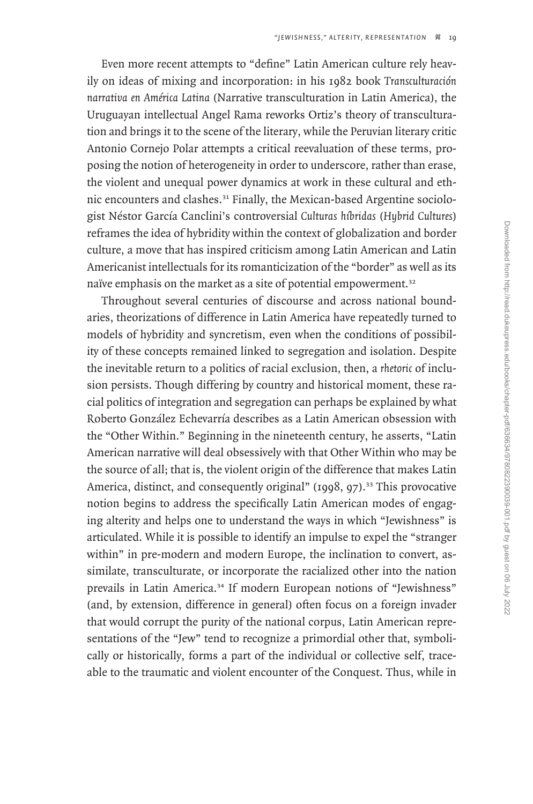Even more recent attempts to "define" Latin American culture rely heavily on ideas of mixing and incorporation: in his 1982 book *Transculturación narrativa en América Latina* (Narrative transculturation in Latin America), the Uruguayan intellectual Angel Rama reworks Ortiz's theory of transculturation and brings it to the scene of the literary, while the Peruvian literary critic Antonio Cornejo Polar attempts a critical reevaluation of these terms, proposing the notion of heterogeneity in order to underscore, rather than erase, the violent and unequal power dynamics at work in these cultural and ethnic encounters and clashes.31 Finally, the Mexican-based Argentine sociologist Néstor García Canclini's controversial *Culturas híbridas* (*Hybrid Cultures*) reframes the idea of hybridity within the context of globalization and border culture, a move that has inspired criticism among Latin American and Latin Americanist intellectuals for its romanticization of the "border" as well as its naïve emphasis on the market as a site of potential empowerment.<sup>32</sup>

Throughout several centuries of discourse and across national boundaries, theorizations of difference in Latin America have repeatedly turned to models of hybridity and syncretism, even when the conditions of possibility of these concepts remained linked to segregation and isolation. Despite the inevitable return to a politics of racial exclusion, then, a *rhetoric* of inclusion persists. Though differing by country and historical moment, these racial politics of integration and segregation can perhaps be explained by what Roberto González Echevarría describes as a Latin American obsession with the "Other Within." Beginning in the nineteenth century, he asserts, "Latin American narrative will deal obsessively with that Other Within who may be the source of all; that is, the violent origin of the difference that makes Latin America, distinct, and consequently original" (1998, 97).<sup>33</sup> This provocative notion begins to address the specifically Latin American modes of engaging alterity and helps one to understand the ways in which "Jewishness" is articulated. While it is possible to identify an impulse to expel the "stranger within" in pre-modern and modern Europe, the inclination to convert, assimilate, transculturate, or incorporate the racialized other into the nation prevails in Latin America.<sup>34</sup> If modern European notions of "Jewishness" (and, by extension, difference in general) often focus on a foreign invader that would corrupt the purity of the national corpus, Latin American representations of the "Jew" tend to recognize a primordial other that, symbolically or historically, forms a part of the individual or collective self, traceable to the traumatic and violent encounter of the Conquest. Thus, while in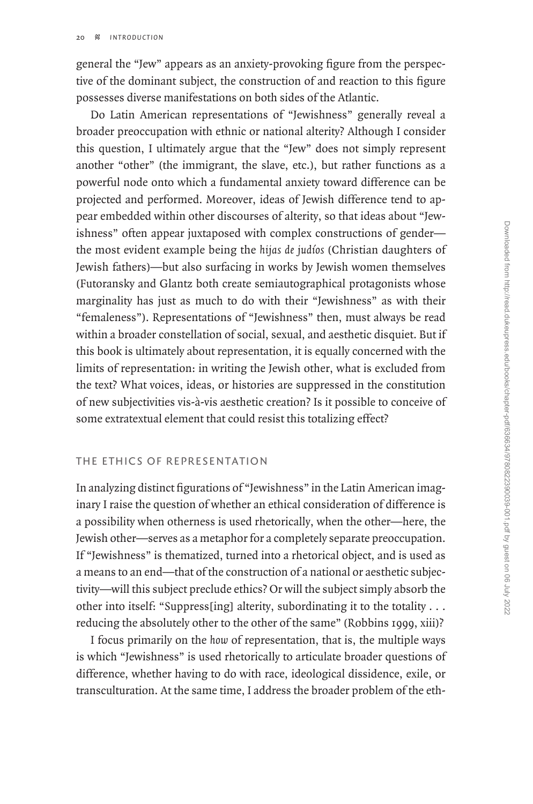general the "Jew" appears as an anxiety-provoking figure from the perspective of the dominant subject, the construction of and reaction to this figure possesses diverse manifestations on both sides of the Atlantic.

Do Latin American representations of "Jewishness" generally reveal a broader preoccupation with ethnic or national alterity? Although I consider this question, I ultimately argue that the "Jew" does not simply represent another "other" (the immigrant, the slave, etc.), but rather functions as a powerful node onto which a fundamental anxiety toward difference can be projected and performed. Moreover, ideas of Jewish difference tend to appear embedded within other discourses of alterity, so that ideas about "Jewishness" often appear juxtaposed with complex constructions of gender the most evident example being the *hijas de judíos* (Christian daughters of Jewish fathers)—but also surfacing in works by Jewish women themselves (Futoransky and Glantz both create semiautographical protagonists whose marginality has just as much to do with their "Jewishness" as with their "femaleness"). Representations of "Jewishness" then, must always be read within a broader constellation of social, sexual, and aesthetic disquiet. But if this book is ultimately about representation, it is equally concerned with the limits of representation: in writing the Jewish other, what is excluded from the text? What voices, ideas, or histories are suppressed in the constitution of new subjectivities vis-à-vis aesthetic creation? Is it possible to conceive of some extratextual element that could resist this totalizing effect?

## The Ethics of Representation

In analyzing distinct figurations of "Jewishness" in the Latin American imaginary I raise the question of whether an ethical consideration of difference is a possibility when otherness is used rhetorically, when the other—here, the Jewish other—serves as a metaphor for a completely separate preoccupation. If "Jewishness" is thematized, turned into a rhetorical object, and is used as a means to an end—that of the construction of a national or aesthetic subjectivity—will this subject preclude ethics? Or will the subject simply absorb the other into itself: "Suppress[ing] alterity, subordinating it to the totality . . . reducing the absolutely other to the other of the same" (Robbins 1999, xiii)?

I focus primarily on the *how* of representation, that is, the multiple ways is which "Jewishness" is used rhetorically to articulate broader questions of difference, whether having to do with race, ideological dissidence, exile, or transculturation. At the same time, I address the broader problem of the eth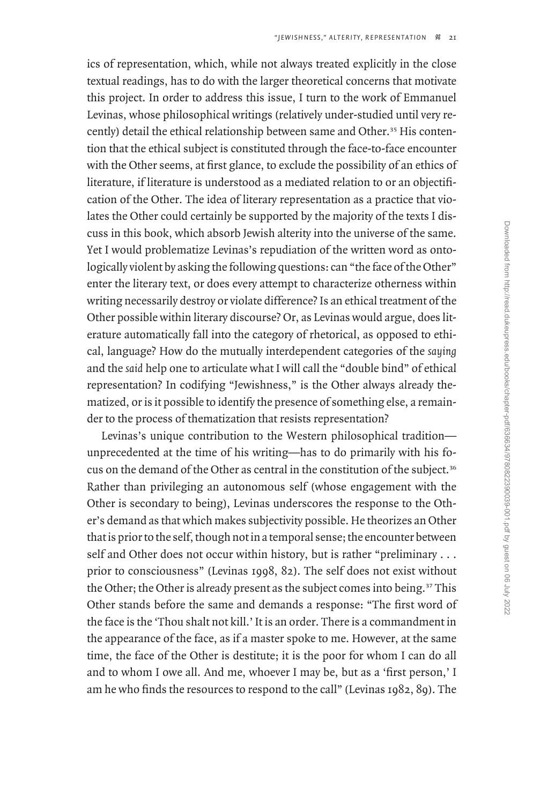ics of representation, which, while not always treated explicitly in the close textual readings, has to do with the larger theoretical concerns that motivate this project. In order to address this issue, I turn to the work of Emmanuel Levinas, whose philosophical writings (relatively under-studied until very recently) detail the ethical relationship between same and Other.<sup>35</sup> His contention that the ethical subject is constituted through the face-to-face encounter with the Other seems, at first glance, to exclude the possibility of an ethics of literature, if literature is understood as a mediated relation to or an objectification of the Other. The idea of literary representation as a practice that violates the Other could certainly be supported by the majority of the texts I discuss in this book, which absorb Jewish alterity into the universe of the same. Yet I would problematize Levinas's repudiation of the written word as ontologically violent by asking the following questions: can "the face of the Other" enter the literary text, or does every attempt to characterize otherness within writing necessarily destroy or violate difference? Is an ethical treatment of the Other possible within literary discourse? Or, as Levinas would argue, does literature automatically fall into the category of rhetorical, as opposed to ethical, language? How do the mutually interdependent categories of the *saying* and the *said* help one to articulate what I will call the "double bind" of ethical representation? In codifying "Jewishness," is the Other always already thematized, or is it possible to identify the presence of something else, a remainder to the process of thematization that resists representation?

Levinas's unique contribution to the Western philosophical tradition unprecedented at the time of his writing—has to do primarily with his focus on the demand of the Other as central in the constitution of the subject.<sup>36</sup> Rather than privileging an autonomous self (whose engagement with the Other is secondary to being), Levinas underscores the response to the Other's demand as that which makes subjectivity possible. He theorizes an Other that is prior to the self, though not in a temporal sense; the encounter between self and Other does not occur within history, but is rather "preliminary . . . prior to consciousness" (Levinas 1998, 82). The self does not exist without the Other; the Other is already present as the subject comes into being.<sup>37</sup> This Other stands before the same and demands a response: "The first word of the face is the 'Thou shalt not kill.' It is an order. There is a commandment in the appearance of the face, as if a master spoke to me. However, at the same time, the face of the Other is destitute; it is the poor for whom I can do all and to whom I owe all. And me, whoever I may be, but as a 'first person,' I am he who finds the resources to respond to the call" (Levinas 1982, 89). The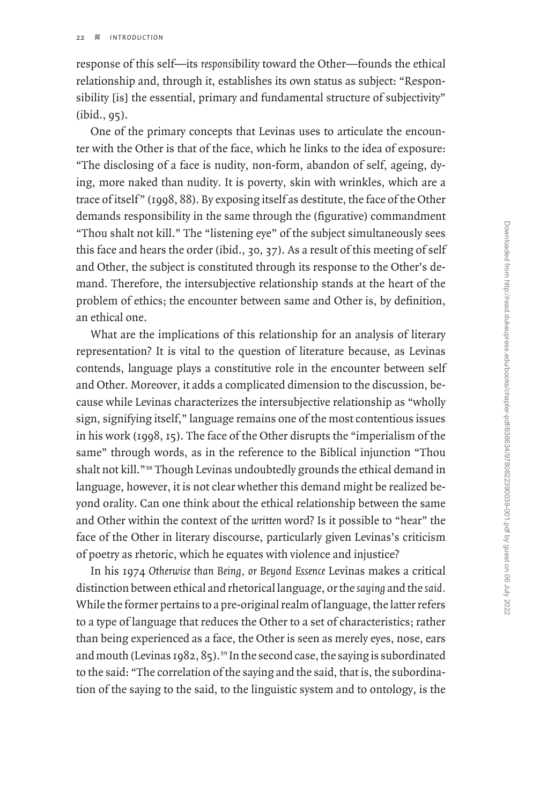response of this self—its *respons*ibility toward the Other—founds the ethical relationship and, through it, establishes its own status as subject: "Responsibility [is] the essential, primary and fundamental structure of subjectivity" (ibid., 95).

One of the primary concepts that Levinas uses to articulate the encounter with the Other is that of the face, which he links to the idea of exposure: "The disclosing of a face is nudity, non-form, abandon of self, ageing, dying, more naked than nudity. It is poverty, skin with wrinkles, which are a trace of itself " (1998, 88). By exposing itself as destitute, the face of the Other demands responsibility in the same through the (figurative) commandment "Thou shalt not kill." The "listening eye" of the subject simultaneously sees this face and hears the order (ibid., 30, 37). As a result of this meeting of self and Other, the subject is constituted through its response to the Other's demand. Therefore, the intersubjective relationship stands at the heart of the problem of ethics; the encounter between same and Other is, by definition, an ethical one.

What are the implications of this relationship for an analysis of literary representation? It is vital to the question of literature because, as Levinas contends, language plays a constitutive role in the encounter between self and Other. Moreover, it adds a complicated dimension to the discussion, because while Levinas characterizes the intersubjective relationship as "wholly sign, signifying itself," language remains one of the most contentious issues in his work (1998, 15). The face of the Other disrupts the "imperialism of the same" through words, as in the reference to the Biblical injunction "Thou shalt not kill."<sup>38</sup> Though Levinas undoubtedly grounds the ethical demand in language, however, it is not clear whether this demand might be realized beyond orality. Can one think about the ethical relationship between the same and Other within the context of the *written* word? Is it possible to "hear" the face of the Other in literary discourse, particularly given Levinas's criticism of poetry as rhetoric, which he equates with violence and injustice?

In his 1974 *Otherwise than Being, or Beyond Essence* Levinas makes a critical distinction between ethical and rhetorical language, or the *saying* and the *said.* While the former pertains to a pre-original realm of language, the latter refers to a type of language that reduces the Other to a set of characteristics; rather than being experienced as a face, the Other is seen as merely eyes, nose, ears and mouth (Levinas 1982, 85).<sup>39</sup> In the second case, the saying is subordinated to the said: "The correlation of the saying and the said, that is, the subordination of the saying to the said, to the linguistic system and to ontology, is the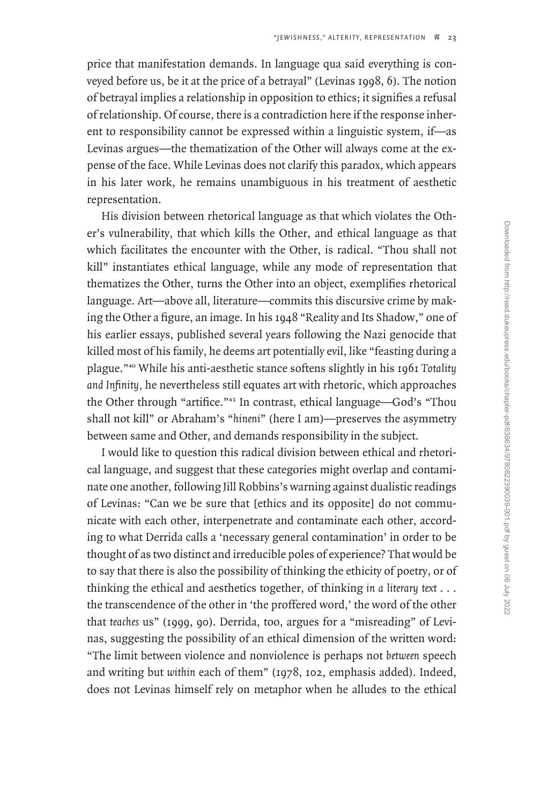price that manifestation demands. In language qua said everything is conveyed before us, be it at the price of a betrayal" (Levinas 1998, 6). The notion of betrayal implies a relationship in opposition to ethics; it signifies a refusal of relationship. Of course, there is a contradiction here if the response inherent to responsibility cannot be expressed within a linguistic system, if—as Levinas argues—the thematization of the Other will always come at the expense of the face. While Levinas does not clarify this paradox, which appears in his later work, he remains unambiguous in his treatment of aesthetic representation.

His division between rhetorical language as that which violates the Other's vulnerability, that which kills the Other, and ethical language as that which facilitates the encounter with the Other, is radical. "Thou shall not kill" instantiates ethical language, while any mode of representation that thematizes the Other, turns the Other into an object, exemplifies rhetorical language. Art—above all, literature—commits this discursive crime by making the Other a figure, an image. In his 1948 "Reality and Its Shadow," one of his earlier essays, published several years following the Nazi genocide that killed most of his family, he deems art potentially evil, like "feasting during a plague."<sup>40</sup> While his anti-aesthetic stance softens slightly in his 1961 *Totality and Infinity,* he nevertheless still equates art with rhetoric, which approaches the Other through "artifice."<sup>41</sup> In contrast, ethical language—God's "Thou shall not kill" or Abraham's "*hineni*" (here I am)—preserves the asymmetry between same and Other, and demands responsibility in the subject.

I would like to question this radical division between ethical and rhetorical language, and suggest that these categories might overlap and contaminate one another, following Jill Robbins's warning against dualistic readings of Levinas: "Can we be sure that [ethics and its opposite] do not communicate with each other, interpenetrate and contaminate each other, according to what Derrida calls a 'necessary general contamination' in order to be thought of as two distinct and irreducible poles of experience? That would be to say that there is also the possibility of thinking the ethicity of poetry, or of thinking the ethical and aesthetics together, of thinking *in a literary text* . . . the transcendence of the other in 'the proffered word,' the word of the other that *teaches* us" (1999, 90). Derrida, too, argues for a "misreading" of Levinas, suggesting the possibility of an ethical dimension of the written word: "The limit between violence and nonviolence is perhaps not *between* speech and writing but *within* each of them" (1978, 102, emphasis added). Indeed, does not Levinas himself rely on metaphor when he alludes to the ethical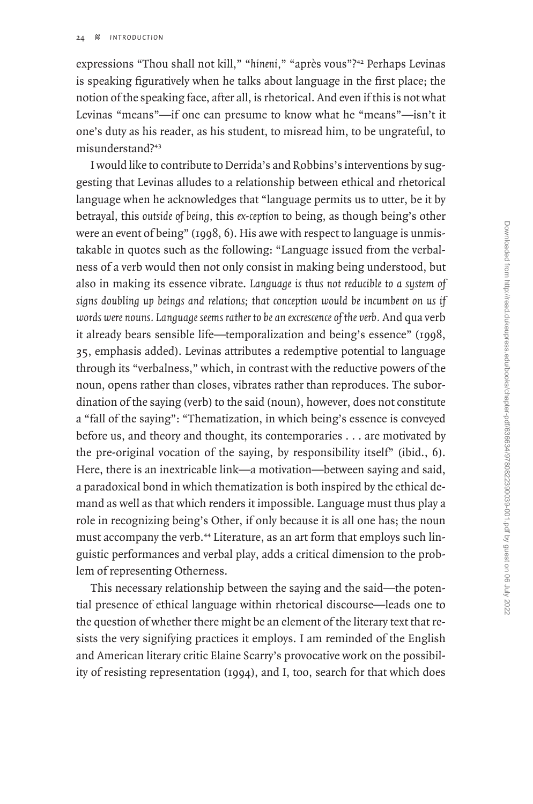expressions "Thou shall not kill," "*hineni,*" "après vous"?<sup>42</sup> Perhaps Levinas is speaking figuratively when he talks about language in the first place; the notion of the speaking face, after all, is rhetorical. And even if this is not what Levinas "means"—if one can presume to know what he "means"—isn't it one's duty as his reader, as his student, to misread him, to be ungrateful, to misunderstand?<sup>43</sup>

I would like to contribute to Derrida's and Robbins's interventions by suggesting that Levinas alludes to a relationship between ethical and rhetorical language when he acknowledges that "language permits us to utter, be it by betrayal, this *outside of being,* this *ex-ception* to being, as though being's other were an event of being" (1998, 6). His awe with respect to language is unmistakable in quotes such as the following: "Language issued from the verbalness of a verb would then not only consist in making being understood, but also in making its essence vibrate. *Language is thus not reducible to a system of signs doubling up beings and relations; that conception would be incumbent on us if words were nouns. Language seems rather to be an excrescence of the verb.* And qua verb it already bears sensible life—temporalization and being's essence" (1998, 35, emphasis added). Levinas attributes a redemptive potential to language through its "verbalness," which, in contrast with the reductive powers of the noun, opens rather than closes, vibrates rather than reproduces. The subordination of the saying (verb) to the said (noun), however, does not constitute a "fall of the saying": "Thematization, in which being's essence is conveyed before us, and theory and thought, its contemporaries . . . are motivated by the pre-original vocation of the saying, by responsibility itself" (ibid., 6). Here, there is an inextricable link—a motivation—between saying and said, a paradoxical bond in which thematization is both inspired by the ethical demand as well as that which renders it impossible. Language must thus play a role in recognizing being's Other, if only because it is all one has; the noun must accompany the verb.<sup>44</sup> Literature, as an art form that employs such linguistic performances and verbal play, adds a critical dimension to the problem of representing Otherness.

This necessary relationship between the saying and the said—the potential presence of ethical language within rhetorical discourse—leads one to the question of whether there might be an element of the literary text that resists the very signifying practices it employs. I am reminded of the English and American literary critic Elaine Scarry's provocative work on the possibility of resisting representation (1994), and I, too, search for that which does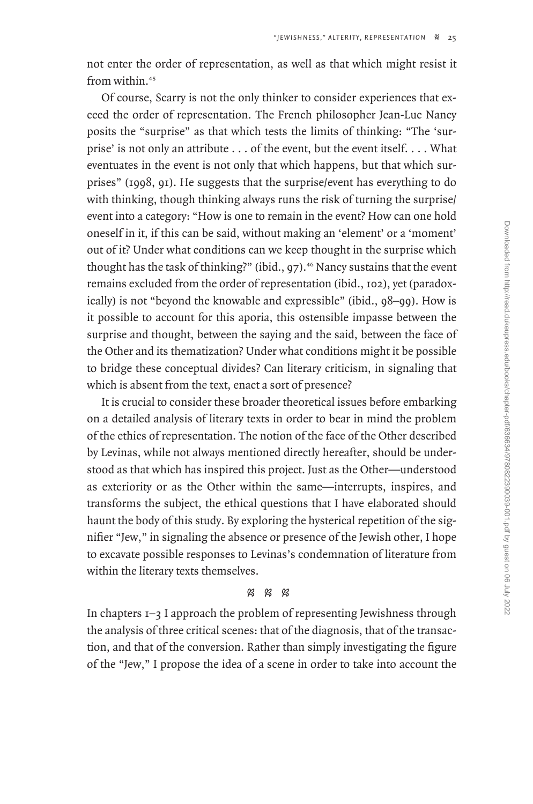not enter the order of representation, as well as that which might resist it from within.<sup>45</sup>

Of course, Scarry is not the only thinker to consider experiences that exceed the order of representation. The French philosopher Jean-Luc Nancy posits the "surprise" as that which tests the limits of thinking: "The 'surprise' is not only an attribute . . . of the event, but the event itself. . . . What eventuates in the event is not only that which happens, but that which surprises" (1998, 91). He suggests that the surprise/event has everything to do with thinking, though thinking always runs the risk of turning the surprise event into a category: "How is one to remain in the event? How can one hold oneself in it, if this can be said, without making an 'element' or a 'moment' out of it? Under what conditions can we keep thought in the surprise which thought has the task of thinking?" (ibid.,  $97$ ).<sup>46</sup> Nancy sustains that the event remains excluded from the order of representation (ibid., 102), yet (paradoxically) is not "beyond the knowable and expressible" (ibid., 98–99). How is it possible to account for this aporia, this ostensible impasse between the surprise and thought, between the saying and the said, between the face of the Other and its thematization? Under what conditions might it be possible to bridge these conceptual divides? Can literary criticism, in signaling that which is absent from the text, enact a sort of presence?

It is crucial to consider these broader theoretical issues before embarking on a detailed analysis of literary texts in order to bear in mind the problem of the ethics of representation. The notion of the face of the Other described by Levinas, while not always mentioned directly hereafter, should be understood as that which has inspired this project. Just as the Other—understood as exteriority or as the Other within the same—interrupts, inspires, and transforms the subject, the ethical questions that I have elaborated should haunt the body of this study. By exploring the hysterical repetition of the signifier "Jew," in signaling the absence or presence of the Jewish other, I hope to excavate possible responses to Levinas's condemnation of literature from within the literary texts themselves.

#### $88R$

In chapters 1–3 I approach the problem of representing Jewishness through the analysis of three critical scenes: that of the diagnosis, that of the transaction, and that of the conversion. Rather than simply investigating the figure of the "Jew," I propose the idea of a scene in order to take into account the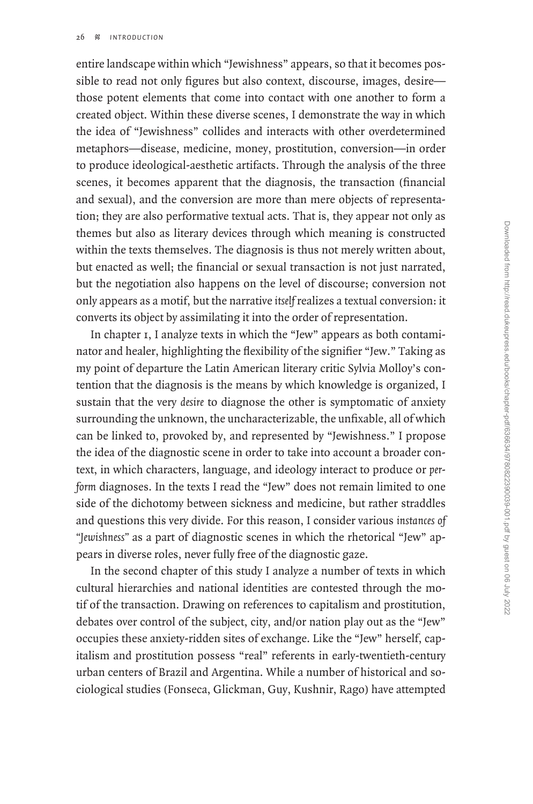entire landscape within which "Jewishness" appears, so that it becomes possible to read not only figures but also context, discourse, images, desire those potent elements that come into contact with one another to form a created object. Within these diverse scenes, I demonstrate the way in which the idea of "Jewishness" collides and interacts with other overdetermined metaphors—disease, medicine, money, prostitution, conversion—in order to produce ideological-aesthetic artifacts. Through the analysis of the three scenes, it becomes apparent that the diagnosis, the transaction (financial and sexual), and the conversion are more than mere objects of representation; they are also performative textual acts. That is, they appear not only as themes but also as literary devices through which meaning is constructed within the texts themselves. The diagnosis is thus not merely written about, but enacted as well; the financial or sexual transaction is not just narrated, but the negotiation also happens on the level of discourse; conversion not only appears as a motif, but the narrative *itself* realizes a textual conversion: it converts its object by assimilating it into the order of representation.

In chapter 1, I analyze texts in which the "Jew" appears as both contaminator and healer, highlighting the flexibility of the signifier "Jew." Taking as my point of departure the Latin American literary critic Sylvia Molloy's contention that the diagnosis is the means by which knowledge is organized, I sustain that the very *desire* to diagnose the other is symptomatic of anxiety surrounding the unknown, the uncharacterizable, the unfixable, all of which can be linked to, provoked by, and represented by "Jewishness." I propose the idea of the diagnostic scene in order to take into account a broader context, in which characters, language, and ideology interact to produce or *perform* diagnoses. In the texts I read the "Jew" does not remain limited to one side of the dichotomy between sickness and medicine, but rather straddles and questions this very divide. For this reason, I consider various *instances of "Jewishness"* as a part of diagnostic scenes in which the rhetorical "Jew" appears in diverse roles, never fully free of the diagnostic gaze.

In the second chapter of this study I analyze a number of texts in which cultural hierarchies and national identities are contested through the motif of the transaction. Drawing on references to capitalism and prostitution, debates over control of the subject, city, and/or nation play out as the "Jew" occupies these anxiety-ridden sites of exchange. Like the "Jew" herself, capitalism and prostitution possess "real" referents in early-twentieth-century urban centers of Brazil and Argentina. While a number of historical and sociological studies (Fonseca, Glickman, Guy, Kushnir, Rago) have attempted